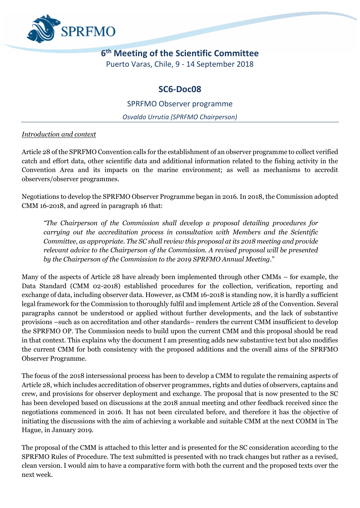

# **6 th Meeting of the Scientific Committee**

Puerto Varas, Chile, 9 - 14 September 2018

### **SC6-Doc08**

SPRFMO Observer programme

*Osvaldo Urrutia (SPRFMO Chairperson)*

#### *Introduction and context*

Article 28 of the SPRFMO Convention calls for the establishment of an observer programme to collect verified catch and effort data, other scientific data and additional information related to the fishing activity in the Convention Area and its impacts on the marine environment; as well as mechanisms to accredit observers/observer programmes.

Negotiations to develop the SPRFMO Observer Programme began in 2016. In 2018, the Commission adopted CMM 16-2018, and agreed in paragraph 16 that:

*"The Chairperson of the Commission shall develop a proposal detailing procedures for carrying out the accreditation process in consultation with Members and the Scientific Committee, as appropriate. The SC shall review this proposal at its 2018 meeting and provide relevant advice to the Chairperson of the Commission. A revised proposal will be presented by the Chairperson of the Commission to the 2019 SPRFMO Annual Meeting*."

Many of the aspects of Article 28 have already been implemented through other CMMs – for example, the Data Standard (CMM 02-2018) established procedures for the collection, verification, reporting and exchange of data, including observer data. However, as CMM 16-2018 is standing now, it is hardly a sufficient legal framework for the Commission to thoroughly fulfil and implement Article 28 of the Convention. Several paragraphs cannot be understood or applied without further developments, and the lack of substantive provisions –such as on accreditation and other standards– renders the current CMM insufficient to develop the SPRFMO OP. The Commission needs to build upon the current CMM and this proposal should be read in that context. This explains why the document I am presenting adds new substantive text but also modifies the current CMM for both consistency with the proposed additions and the overall aims of the SPRFMO Observer Programme.

The focus of the 2018 intersessional process has been to develop a CMM to regulate the remaining aspects of Article 28, which includes accreditation of observer programmes, rights and duties of observers, captains and crew, and provisions for observer deployment and exchange. The proposal that is now presented to the SC has been developed based on discussions at the 2018 annual meeting and other feedback received since the negotiations commenced in 2016. It has not been circulated before, and therefore it has the objective of initiating the discussions with the aim of achieving a workable and suitable CMM at the next COMM in The Hague, in January 2019.

The proposal of the CMM is attached to this letter and is presented for the SC consideration according to the SPRFMO Rules of Procedure. The text submitted is presented with no track changes but rather as a revised, clean version. I would aim to have a comparative form with both the current and the proposed texts over the next week.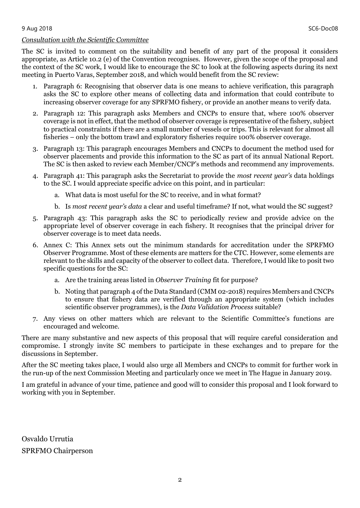#### 9 Aug 2018 SC6-Doc08

#### *Consultation with the Scientific Committee*

The SC is invited to comment on the suitability and benefit of any part of the proposal it considers appropriate, as Article 10.2 (e) of the Convention recognises. However, given the scope of the proposal and the context of the SC work, I would like to encourage the SC to look at the following aspects during its next meeting in Puerto Varas, September 2018, and which would benefit from the SC review:

- 1. Paragraph 6: Recognising that observer data is one means to achieve verification, this paragraph asks the SC to explore other means of collecting data and information that could contribute to increasing observer coverage for any SPRFMO fishery, or provide an another means to verify data.
- 2. Paragraph 12: This paragraph asks Members and CNCPs to ensure that, where 100% observer coverage is not in effect, that the method of observer coverage is representative of the fishery, subject to practical constraints if there are a small number of vessels or trips. This is relevant for almost all fisheries – only the bottom trawl and exploratory fisheries require 100% observer coverage.
- 3. Paragraph 13: This paragraph encourages Members and CNCPs to document the method used for observer placements and provide this information to the SC as part of its annual National Report. The SC is then asked to review each Member/CNCP's methods and recommend any improvements.
- 4. Paragraph 41: This paragraph asks the Secretariat to provide the *most recent year's* data holdings to the SC. I would appreciate specific advice on this point, and in particular:
	- a. What data is most useful for the SC to receive, and in what format?
	- b. Is *most recent year's data* a clear and useful timeframe? If not, what would the SC suggest?
- 5. Paragraph 43: This paragraph asks the SC to periodically review and provide advice on the appropriate level of observer coverage in each fishery. It recognises that the principal driver for observer coverage is to meet data needs.
- 6. Annex C: This Annex sets out the minimum standards for accreditation under the SPRFMO Observer Programme. Most of these elements are matters for the CTC. However, some elements are relevant to the skills and capacity of the observer to collect data. Therefore, I would like to posit two specific questions for the SC:
	- a. Are the training areas listed in *Observer Training* fit for purpose?
	- b. Noting that paragraph 4 of the Data Standard (CMM 02-2018) requires Members and CNCPs to ensure that fishery data are verified through an appropriate system (which includes scientific observer programmes), is the *Data Validation Process* suitable?
- 7. Any views on other matters which are relevant to the Scientific Committee's functions are encouraged and welcome.

There are many substantive and new aspects of this proposal that will require careful consideration and compromise. I strongly invite SC members to participate in these exchanges and to prepare for the discussions in September.

After the SC meeting takes place, I would also urge all Members and CNCPs to commit for further work in the run-up of the next Commission Meeting and particularly once we meet in The Hague in January 2019.

I am grateful in advance of your time, patience and good will to consider this proposal and I look forward to working with you in September.

Osvaldo Urrutia SPRFMO Chairperson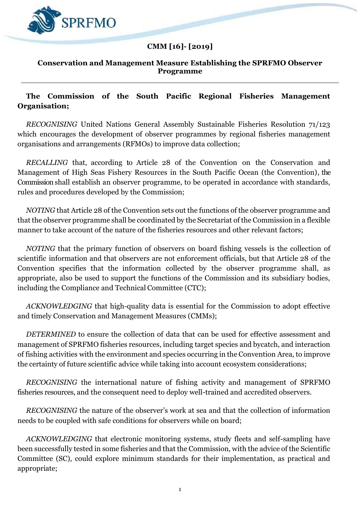

# **CMM [16]- [2019]**

#### **Conservation and Management Measure Establishing the SPRFMO Observer Programme**

#### **The Commission of the South Pacific Regional Fisheries Management Organisation;**

*RECOGNISING* United Nations General Assembly Sustainable Fisheries Resolution 71/123 which encourages the development of observer programmes by regional fisheries management organisations and arrangements (RFMOs) to improve data collection;

*RECALLING* that, according to Article 28 of the Convention on the Conservation and Management of High Seas Fishery Resources in the South Pacific Ocean (the Convention), the Commission shall establish an observer programme, to be operated in accordance with standards, rules and procedures developed by the Commission;

*NOTING* that Article 28 of the Convention sets out the functions of the observer programme and that the observer programme shall be coordinated by the Secretariat of the Commission in a flexible manner to take account of the nature of the fisheries resources and other relevant factors;

*NOTING* that the primary function of observers on board fishing vessels is the collection of scientific information and that observers are not enforcement officials, but that Article 28 of the Convention specifies that the information collected by the observer programme shall, as appropriate, also be used to support the functions of the Commission and its subsidiary bodies, including the Compliance and Technical Committee (CTC);

*ACKNOWLEDGING* that high-quality data is essential for the Commission to adopt effective and timely Conservation and Management Measures (CMMs);

*DETERMINED* to ensure the collection of data that can be used for effective assessment and management of SPRFMO fisheries resources, including target species and bycatch, and interaction of fishing activities with the environment and species occurring in the Convention Area, to improve the certainty of future scientific advice while taking into account ecosystem considerations;

*RECOGNISING* the international nature of fishing activity and management of SPRFMO fisheries resources, and the consequent need to deploy well-trained and accredited observers.

*RECOGNISING* the nature of the observer's work at sea and that the collection of information needs to be coupled with safe conditions for observers while on board;

*ACKNOWLEDGING* that electronic monitoring systems, study fleets and self-sampling have been successfully tested in some fisheries and that the Commission, with the advice of the Scientific Committee (SC), could explore minimum standards for their implementation, as practical and appropriate;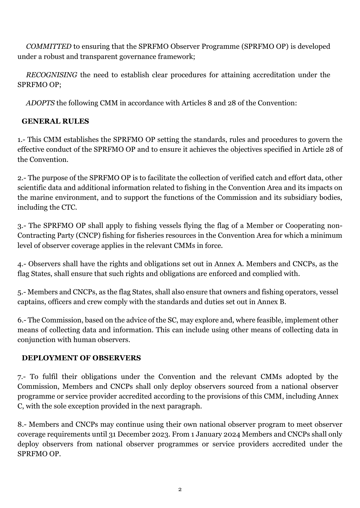*COMMITTED* to ensuring that the SPRFMO Observer Programme (SPRFMO OP) is developed under a robust and transparent governance framework;

*RECOGNISING* the need to establish clear procedures for attaining accreditation under the SPRFMO OP;

*ADOPTS* the following CMM in accordance with Articles 8 and 28 of the Convention:

# **GENERAL RULES**

1.- This CMM establishes the SPRFMO OP setting the standards, rules and procedures to govern the effective conduct of the SPRFMO OP and to ensure it achieves the objectives specified in Article 28 of the Convention.

2.- The purpose of the SPRFMO OP is to facilitate the collection of verified catch and effort data, other scientific data and additional information related to fishing in the Convention Area and its impacts on the marine environment, and to support the functions of the Commission and its subsidiary bodies, including the CTC.

3.- The SPRFMO OP shall apply to fishing vessels flying the flag of a Member or Cooperating non-Contracting Party (CNCP) fishing for fisheries resources in the Convention Area for which a minimum level of observer coverage applies in the relevant CMMs in force.

4.- Observers shall have the rights and obligations set out in Annex A. Members and CNCPs, as the flag States, shall ensure that such rights and obligations are enforced and complied with.

5.- Members and CNCPs, as the flag States, shall also ensure that owners and fishing operators, vessel captains, officers and crew comply with the standards and duties set out in Annex B.

6.- The Commission, based on the advice of the SC, may explore and, where feasible, implement other means of collecting data and information. This can include using other means of collecting data in conjunction with human observers.

### **DEPLOYMENT OF OBSERVERS**

7.- To fulfil their obligations under the Convention and the relevant CMMs adopted by the Commission, Members and CNCPs shall only deploy observers sourced from a national observer programme or service provider accredited according to the provisions of this CMM, including Annex C, with the sole exception provided in the next paragraph.

8.- Members and CNCPs may continue using their own national observer program to meet observer coverage requirements until 31 December 2023. From 1 January 2024 Members and CNCPs shall only deploy observers from national observer programmes or service providers accredited under the SPRFMO OP.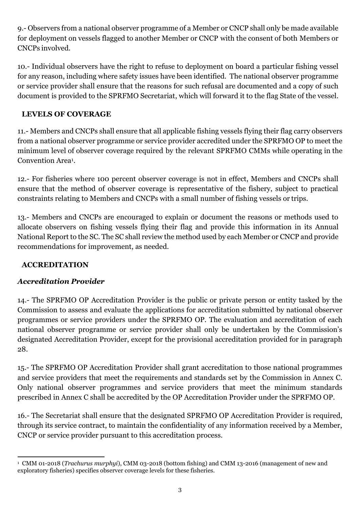9.- Observers from a national observer programme of a Member or CNCP shall only be made available for deployment on vessels flagged to another Member or CNCP with the consent of both Members or CNCPs involved.

10.- Individual observers have the right to refuse to deployment on board a particular fishing vessel for any reason, including where safety issues have been identified. The national observer programme or service provider shall ensure that the reasons for such refusal are documented and a copy of such document is provided to the SPRFMO Secretariat, which will forward it to the flag State of the vessel.

### **LEVELS OF COVERAGE**

11.- Members and CNCPs shall ensure that all applicable fishing vessels flying their flag carry observers from a national observer programme or service provider accredited under the SPRFMO OP to meet the minimum level of observer coverage required by the relevant SPRFMO CMMs while operating in the Convention Area<sup>1</sup> .

12.- For fisheries where 100 percent observer coverage is not in effect, Members and CNCPs shall ensure that the method of observer coverage is representative of the fishery, subject to practical constraints relating to Members and CNCPs with a small number of fishing vessels or trips.

13.- Members and CNCPs are encouraged to explain or document the reasons or methods used to allocate observers on fishing vessels flying their flag and provide this information in its Annual National Report to the SC. The SC shall review the method used by each Member or CNCP and provide recommendations for improvement, as needed.

### **ACCREDITATION**

### *Accreditation Provider*

14.- The SPRFMO OP Accreditation Provider is the public or private person or entity tasked by the Commission to assess and evaluate the applications for accreditation submitted by national observer programmes or service providers under the SPRFMO OP. The evaluation and accreditation of each national observer programme or service provider shall only be undertaken by the Commission's designated Accreditation Provider, except for the provisional accreditation provided for in paragraph 28.

15.- The SPRFMO OP Accreditation Provider shall grant accreditation to those national programmes and service providers that meet the requirements and standards set by the Commission in Annex C. Only national observer programmes and service providers that meet the minimum standards prescribed in Annex C shall be accredited by the OP Accreditation Provider under the SPRFMO OP.

16.- The Secretariat shall ensure that the designated SPRFMO OP Accreditation Provider is required, through its service contract, to maintain the confidentiality of any information received by a Member, CNCP or service provider pursuant to this accreditation process.

 $\overline{a}$ <sup>1</sup> CMM 01-2018 (*Trachurus murphyi*), CMM 03-2018 (bottom fishing) and CMM 13-2016 (management of new and exploratory fisheries) specifies observer coverage levels for these fisheries.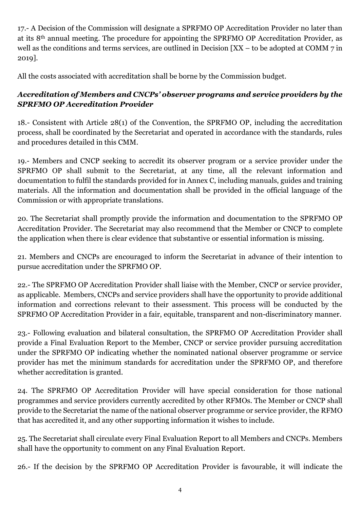17.- A Decision of the Commission will designate a SPRFMO OP Accreditation Provider no later than at its 8th annual meeting. The procedure for appointing the SPRFMO OP Accreditation Provider, as well as the conditions and terms services, are outlined in Decision [XX – to be adopted at COMM 7 in 2019].

All the costs associated with accreditation shall be borne by the Commission budget.

### *Accreditation of Members and CNCPs' observer programs and service providers by the SPRFMO OP Accreditation Provider*

18.- Consistent with Article 28(1) of the Convention, the SPRFMO OP, including the accreditation process, shall be coordinated by the Secretariat and operated in accordance with the standards, rules and procedures detailed in this CMM.

19.- Members and CNCP seeking to accredit its observer program or a service provider under the SPRFMO OP shall submit to the Secretariat, at any time, all the relevant information and documentation to fulfil the standards provided for in Annex C, including manuals, guides and training materials. All the information and documentation shall be provided in the official language of the Commission or with appropriate translations.

20. The Secretariat shall promptly provide the information and documentation to the SPRFMO OP Accreditation Provider. The Secretariat may also recommend that the Member or CNCP to complete the application when there is clear evidence that substantive or essential information is missing.

21. Members and CNCPs are encouraged to inform the Secretariat in advance of their intention to pursue accreditation under the SPRFMO OP.

22.- The SPRFMO OP Accreditation Provider shall liaise with the Member, CNCP or service provider, as applicable. Members, CNCPs and service providers shall have the opportunity to provide additional information and corrections relevant to their assessment. This process will be conducted by the SPRFMO OP Accreditation Provider in a fair, equitable, transparent and non-discriminatory manner.

23.- Following evaluation and bilateral consultation, the SPRFMO OP Accreditation Provider shall provide a Final Evaluation Report to the Member, CNCP or service provider pursuing accreditation under the SPRFMO OP indicating whether the nominated national observer programme or service provider has met the minimum standards for accreditation under the SPRFMO OP, and therefore whether accreditation is granted.

24. The SPRFMO OP Accreditation Provider will have special consideration for those national programmes and service providers currently accredited by other RFMOs. The Member or CNCP shall provide to the Secretariat the name of the national observer programme or service provider, the RFMO that has accredited it, and any other supporting information it wishes to include.

25. The Secretariat shall circulate every Final Evaluation Report to all Members and CNCPs. Members shall have the opportunity to comment on any Final Evaluation Report.

26.- If the decision by the SPRFMO OP Accreditation Provider is favourable, it will indicate the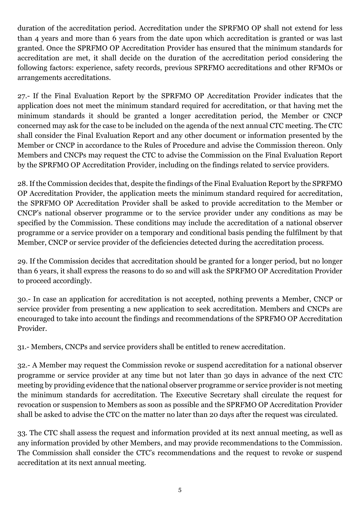duration of the accreditation period. Accreditation under the SPRFMO OP shall not extend for less than 4 years and more than 6 years from the date upon which accreditation is granted or was last granted. Once the SPRFMO OP Accreditation Provider has ensured that the minimum standards for accreditation are met, it shall decide on the duration of the accreditation period considering the following factors: experience, safety records, previous SPRFMO accreditations and other RFMOs or arrangements accreditations.

27.- If the Final Evaluation Report by the SPRFMO OP Accreditation Provider indicates that the application does not meet the minimum standard required for accreditation, or that having met the minimum standards it should be granted a longer accreditation period, the Member or CNCP concerned may ask for the case to be included on the agenda of the next annual CTC meeting. The CTC shall consider the Final Evaluation Report and any other document or information presented by the Member or CNCP in accordance to the Rules of Procedure and advise the Commission thereon. Only Members and CNCPs may request the CTC to advise the Commission on the Final Evaluation Report by the SPRFMO OP Accreditation Provider, including on the findings related to service providers.

28. If the Commission decides that, despite the findings of the Final Evaluation Report by the SPRFMO OP Accreditation Provider, the application meets the minimum standard required for accreditation, the SPRFMO OP Accreditation Provider shall be asked to provide accreditation to the Member or CNCP's national observer programme or to the service provider under any conditions as may be specified by the Commission. These conditions may include the accreditation of a national observer programme or a service provider on a temporary and conditional basis pending the fulfilment by that Member, CNCP or service provider of the deficiencies detected during the accreditation process.

29. If the Commission decides that accreditation should be granted for a longer period, but no longer than 6 years, it shall express the reasons to do so and will ask the SPRFMO OP Accreditation Provider to proceed accordingly.

30.- In case an application for accreditation is not accepted, nothing prevents a Member, CNCP or service provider from presenting a new application to seek accreditation. Members and CNCPs are encouraged to take into account the findings and recommendations of the SPRFMO OP Accreditation Provider.

31.- Members, CNCPs and service providers shall be entitled to renew accreditation.

32.- A Member may request the Commission revoke or suspend accreditation for a national observer programme or service provider at any time but not later than 30 days in advance of the next CTC meeting by providing evidence that the national observer programme or service provider is not meeting the minimum standards for accreditation. The Executive Secretary shall circulate the request for revocation or suspension to Members as soon as possible and the SPRFMO OP Accreditation Provider shall be asked to advise the CTC on the matter no later than 20 days after the request was circulated.

33. The CTC shall assess the request and information provided at its next annual meeting, as well as any information provided by other Members, and may provide recommendations to the Commission. The Commission shall consider the CTC's recommendations and the request to revoke or suspend accreditation at its next annual meeting.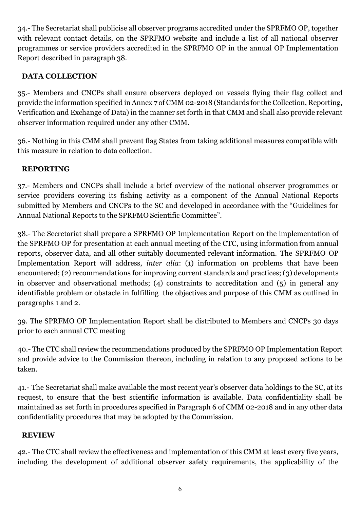34.- The Secretariat shall publicise all observer programs accredited under the SPRFMO OP, together with relevant contact details, on the SPRFMO website and include a list of all national observer programmes or service providers accredited in the SPRFMO OP in the annual OP Implementation Report described in paragraph 38.

### **DATA COLLECTION**

35.- Members and CNCPs shall ensure observers deployed on vessels flying their flag collect and provide the information specified in Annex 7 of CMM 02-2018 (Standards for the Collection, Reporting, Verification and Exchange of Data) in the manner set forth in that CMM and shall also provide relevant observer information required under any other CMM.

36.- Nothing in this CMM shall prevent flag States from taking additional measures compatible with this measure in relation to data collection.

### **REPORTING**

37.- Members and CNCPs shall include a brief overview of the national observer programmes or service providers covering its fishing activity as a component of the Annual National Reports submitted by Members and CNCPs to the SC and developed in accordance with the "Guidelines for Annual National Reports to the SPRFMO Scientific Committee".

38.- The Secretariat shall prepare a SPRFMO OP Implementation Report on the implementation of the SPRFMO OP for presentation at each annual meeting of the CTC, using information from annual reports, observer data, and all other suitably documented relevant information. The SPRFMO OP Implementation Report will address, *inter alia*: (1) information on problems that have been encountered; (2) recommendations for improving current standards and practices; (3) developments in observer and observational methods; (4) constraints to accreditation and (5) in general any identifiable problem or obstacle in fulfilling the objectives and purpose of this CMM as outlined in paragraphs 1 and 2.

39. The SPRFMO OP Implementation Report shall be distributed to Members and CNCPs 30 days prior to each annual CTC meeting

40.- The CTC shall review the recommendations produced by the SPRFMO OP Implementation Report and provide advice to the Commission thereon, including in relation to any proposed actions to be taken.

41.- The Secretariat shall make available the most recent year's observer data holdings to the SC, at its request, to ensure that the best scientific information is available. Data confidentiality shall be maintained as set forth in procedures specified in Paragraph 6 of CMM 02-2018 and in any other data confidentiality procedures that may be adopted by the Commission.

### **REVIEW**

42.- The CTC shall review the effectiveness and implementation of this CMM at least every five years, including the development of additional observer safety requirements, the applicability of the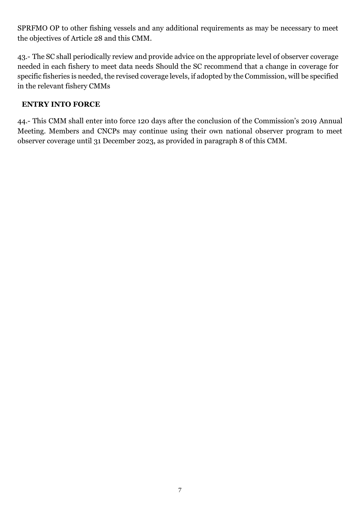SPRFMO OP to other fishing vessels and any additional requirements as may be necessary to meet the objectives of Article 28 and this CMM.

43.- The SC shall periodically review and provide advice on the appropriate level of observer coverage needed in each fishery to meet data needs Should the SC recommend that a change in coverage for specific fisheries is needed, the revised coverage levels, if adopted by the Commission, will be specified in the relevant fishery CMMs

### **ENTRY INTO FORCE**

44.- This CMM shall enter into force 120 days after the conclusion of the Commission's 2019 Annual Meeting. Members and CNCPs may continue using their own national observer program to meet observer coverage until 31 December 2023, as provided in paragraph 8 of this CMM.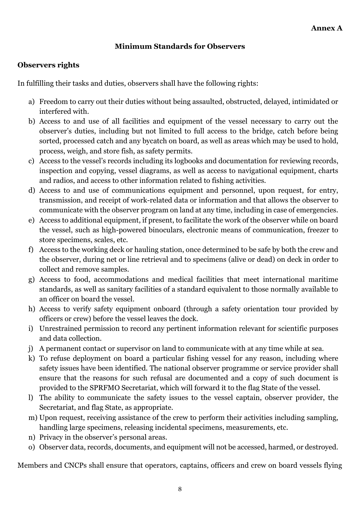### **Minimum Standards for Observers**

### **Observers rights**

In fulfilling their tasks and duties, observers shall have the following rights:

- a) Freedom to carry out their duties without being assaulted, obstructed, delayed, intimidated or interfered with.
- b) Access to and use of all facilities and equipment of the vessel necessary to carry out the observer's duties, including but not limited to full access to the bridge, catch before being sorted, processed catch and any bycatch on board, as well as areas which may be used to hold, process, weigh, and store fish, as safety permits.
- c) Access to the vessel's records including its logbooks and documentation for reviewing records, inspection and copying, vessel diagrams, as well as access to navigational equipment, charts and radios, and access to other information related to fishing activities.
- d) Access to and use of communications equipment and personnel, upon request, for entry, transmission, and receipt of work-related data or information and that allows the observer to communicate with the observer program on land at any time, including in case of emergencies.
- e) Access to additional equipment, if present, to facilitate the work of the observer while on board the vessel, such as high-powered binoculars, electronic means of communication, freezer to store specimens, scales, etc.
- f) Access to the working deck or hauling station, once determined to be safe by both the crew and the observer, during net or line retrieval and to specimens (alive or dead) on deck in order to collect and remove samples.
- g) Access to food, accommodations and medical facilities that meet international maritime standards, as well as sanitary facilities of a standard equivalent to those normally available to an officer on board the vessel.
- h) Access to verify safety equipment onboard (through a safety orientation tour provided by officers or crew) before the vessel leaves the dock.
- i) Unrestrained permission to record any pertinent information relevant for scientific purposes and data collection.
- j) A permanent contact or supervisor on land to communicate with at any time while at sea.
- k) To refuse deployment on board a particular fishing vessel for any reason, including where safety issues have been identified. The national observer programme or service provider shall ensure that the reasons for such refusal are documented and a copy of such document is provided to the SPRFMO Secretariat, which will forward it to the flag State of the vessel.
- l) The ability to communicate the safety issues to the vessel captain, observer provider, the Secretariat, and flag State, as appropriate.
- m) Upon request, receiving assistance of the crew to perform their activities including sampling, handling large specimens, releasing incidental specimens, measurements, etc.
- n) Privacy in the observer's personal areas.
- o) Observer data, records, documents, and equipment will not be accessed, harmed, or destroyed.

Members and CNCPs shall ensure that operators, captains, officers and crew on board vessels flying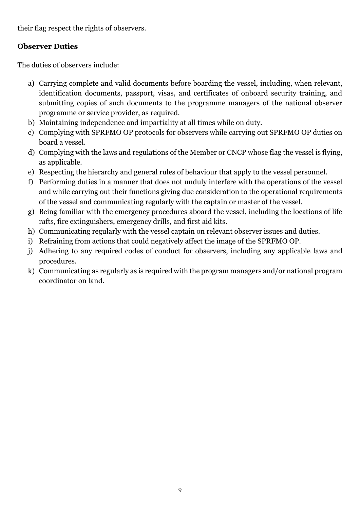their flag respect the rights of observers.

### **Observer Duties**

The duties of observers include:

- a) Carrying complete and valid documents before boarding the vessel, including, when relevant, identification documents, passport, visas, and certificates of onboard security training, and submitting copies of such documents to the programme managers of the national observer programme or service provider, as required.
- b) Maintaining independence and impartiality at all times while on duty.
- c) Complying with SPRFMO OP protocols for observers while carrying out SPRFMO OP duties on board a vessel.
- d) Complying with the laws and regulations of the Member or CNCP whose flag the vessel is flying, as applicable.
- e) Respecting the hierarchy and general rules of behaviour that apply to the vessel personnel.
- f) Performing duties in a manner that does not unduly interfere with the operations of the vessel and while carrying out their functions giving due consideration to the operational requirements of the vessel and communicating regularly with the captain or master of the vessel.
- g) Being familiar with the emergency procedures aboard the vessel, including the locations of life rafts, fire extinguishers, emergency drills, and first aid kits.
- h) Communicating regularly with the vessel captain on relevant observer issues and duties.
- i) Refraining from actions that could negatively affect the image of the SPRFMO OP.
- j) Adhering to any required codes of conduct for observers, including any applicable laws and procedures.
- k) Communicating as regularly as is required with the program managers and/or national program coordinator on land.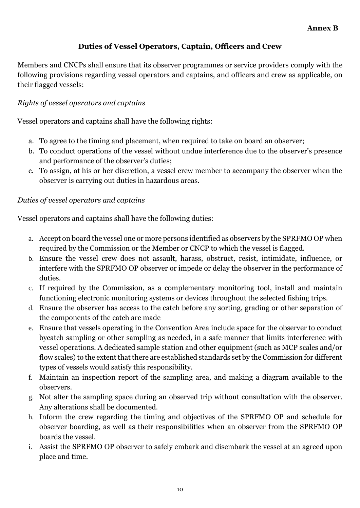### **Duties of Vessel Operators, Captain, Officers and Crew**

Members and CNCPs shall ensure that its observer programmes or service providers comply with the following provisions regarding vessel operators and captains, and officers and crew as applicable, on their flagged vessels:

### *Rights of vessel operators and captains*

Vessel operators and captains shall have the following rights:

- a. To agree to the timing and placement, when required to take on board an observer;
- b. To conduct operations of the vessel without undue interference due to the observer's presence and performance of the observer's duties;
- c. To assign, at his or her discretion, a vessel crew member to accompany the observer when the observer is carrying out duties in hazardous areas.

### *Duties of vessel operators and captains*

Vessel operators and captains shall have the following duties:

- a. Accept on board the vessel one or more persons identified as observers by the SPRFMO OP when required by the Commission or the Member or CNCP to which the vessel is flagged.
- b. Ensure the vessel crew does not assault, harass, obstruct, resist, intimidate, influence, or interfere with the SPRFMO OP observer or impede or delay the observer in the performance of duties.
- c. If required by the Commission, as a complementary monitoring tool, install and maintain functioning electronic monitoring systems or devices throughout the selected fishing trips.
- d. Ensure the observer has access to the catch before any sorting, grading or other separation of the components of the catch are made
- e. Ensure that vessels operating in the Convention Area include space for the observer to conduct bycatch sampling or other sampling as needed, in a safe manner that limits interference with vessel operations. A dedicated sample station and other equipment (such as MCP scales and/or flow scales) to the extent that there are established standards set by the Commission for different types of vessels would satisfy this responsibility.
- f. Maintain an inspection report of the sampling area, and making a diagram available to the observers.
- g. Not alter the sampling space during an observed trip without consultation with the observer. Any alterations shall be documented.
- h. Inform the crew regarding the timing and objectives of the SPRFMO OP and schedule for observer boarding, as well as their responsibilities when an observer from the SPRFMO OP boards the vessel.
- i. Assist the SPRFMO OP observer to safely embark and disembark the vessel at an agreed upon place and time.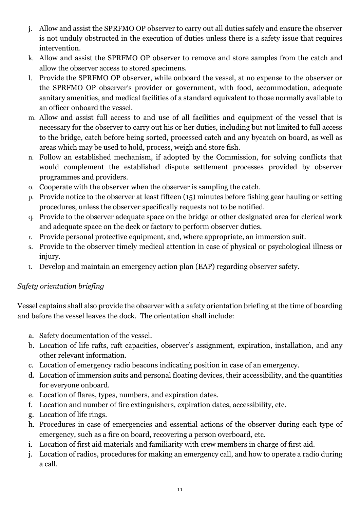- j. Allow and assist the SPRFMO OP observer to carry out all duties safely and ensure the observer is not unduly obstructed in the execution of duties unless there is a safety issue that requires intervention.
- k. Allow and assist the SPRFMO OP observer to remove and store samples from the catch and allow the observer access to stored specimens.
- l. Provide the SPRFMO OP observer, while onboard the vessel, at no expense to the observer or the SPRFMO OP observer's provider or government, with food, accommodation, adequate sanitary amenities, and medical facilities of a standard equivalent to those normally available to an officer onboard the vessel.
- m. Allow and assist full access to and use of all facilities and equipment of the vessel that is necessary for the observer to carry out his or her duties, including but not limited to full access to the bridge, catch before being sorted, processed catch and any bycatch on board, as well as areas which may be used to hold, process, weigh and store fish.
- n. Follow an established mechanism, if adopted by the Commission, for solving conflicts that would complement the established dispute settlement processes provided by observer programmes and providers.
- o. Cooperate with the observer when the observer is sampling the catch.
- p. Provide notice to the observer at least fifteen (15) minutes before fishing gear hauling or setting procedures, unless the observer specifically requests not to be notified.
- q. Provide to the observer adequate space on the bridge or other designated area for clerical work and adequate space on the deck or factory to perform observer duties.
- r. Provide personal protective equipment, and, where appropriate, an immersion suit.
- s. Provide to the observer timely medical attention in case of physical or psychological illness or injury.
- t. Develop and maintain an emergency action plan (EAP) regarding observer safety.

# *Safety orientation briefing*

Vessel captains shall also provide the observer with a safety orientation briefing at the time of boarding and before the vessel leaves the dock. The orientation shall include:

- a. Safety documentation of the vessel.
- b. Location of life rafts, raft capacities, observer's assignment, expiration, installation, and any other relevant information.
- c. Location of emergency radio beacons indicating position in case of an emergency.
- d. Location of immersion suits and personal floating devices, their accessibility, and the quantities for everyone onboard.
- e. Location of flares, types, numbers, and expiration dates.
- f. Location and number of fire extinguishers, expiration dates, accessibility, etc.
- g. Location of life rings.
- h. Procedures in case of emergencies and essential actions of the observer during each type of emergency, such as a fire on board, recovering a person overboard, etc.
- i. Location of first aid materials and familiarity with crew members in charge of first aid.
- j. Location of radios, procedures for making an emergency call, and how to operate a radio during a call.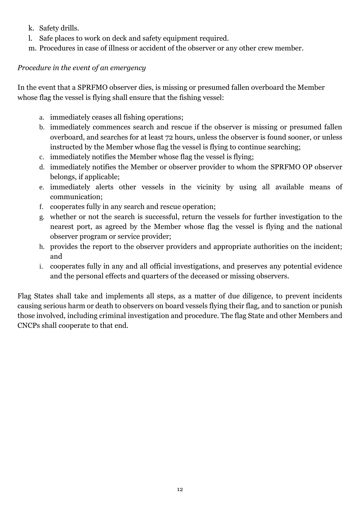- k. Safety drills.
- l. Safe places to work on deck and safety equipment required.
- m. Procedures in case of illness or accident of the observer or any other crew member.

### *Procedure in the event of an emergency*

In the event that a SPRFMO observer dies, is missing or presumed fallen overboard the Member whose flag the vessel is flying shall ensure that the fishing vessel:

- a. immediately ceases all fishing operations;
- b. immediately commences search and rescue if the observer is missing or presumed fallen overboard, and searches for at least 72 hours, unless the observer is found sooner, or unless instructed by the Member whose flag the vessel is flying to continue searching;
- c. immediately notifies the Member whose flag the vessel is flying;
- d. immediately notifies the Member or observer provider to whom the SPRFMO OP observer belongs, if applicable;
- e. immediately alerts other vessels in the vicinity by using all available means of communication;
- f. cooperates fully in any search and rescue operation;
- g. whether or not the search is successful, return the vessels for further investigation to the nearest port, as agreed by the Member whose flag the vessel is flying and the national observer program or service provider;
- h. provides the report to the observer providers and appropriate authorities on the incident; and
- i. cooperates fully in any and all official investigations, and preserves any potential evidence and the personal effects and quarters of the deceased or missing observers.

Flag States shall take and implements all steps, as a matter of due diligence, to prevent incidents causing serious harm or death to observers on board vessels flying their flag, and to sanction or punish those involved, including criminal investigation and procedure. The flag State and other Members and CNCPs shall cooperate to that end.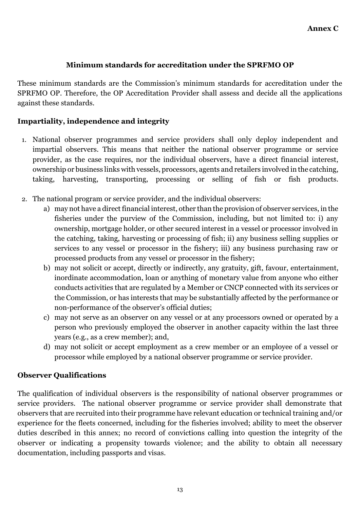### **Minimum standards for accreditation under the SPRFMO OP**

These minimum standards are the Commission's minimum standards for accreditation under the SPRFMO OP. Therefore, the OP Accreditation Provider shall assess and decide all the applications against these standards.

### **Impartiality, independence and integrity**

- 1. National observer programmes and service providers shall only deploy independent and impartial observers. This means that neither the national observer programme or service provider, as the case requires, nor the individual observers, have a direct financial interest, ownership or business links with vessels, processors, agents and retailers involved in the catching, taking, harvesting, transporting, processing or selling of fish or fish products.
- 2. The national program or service provider, and the individual observers:
	- a) may not have a direct financial interest, other than the provision of observer services, in the fisheries under the purview of the Commission, including, but not limited to: i) any ownership, mortgage holder, or other secured interest in a vessel or processor involved in the catching, taking, harvesting or processing of fish; ii) any business selling supplies or services to any vessel or processor in the fishery; iii) any business purchasing raw or processed products from any vessel or processor in the fishery;
	- b) may not solicit or accept, directly or indirectly, any gratuity, gift, favour, entertainment, inordinate accommodation, loan or anything of monetary value from anyone who either conducts activities that are regulated by a Member or CNCP connected with its services or the Commission, or has interests that may be substantially affected by the performance or non-performance of the observer's official duties;
	- c) may not serve as an observer on any vessel or at any processors owned or operated by a person who previously employed the observer in another capacity within the last three years (e.g., as a crew member); and,
	- d) may not solicit or accept employment as a crew member or an employee of a vessel or processor while employed by a national observer programme or service provider.

#### **Observer Qualifications**

The qualification of individual observers is the responsibility of national observer programmes or service providers. The national observer programme or service provider shall demonstrate that observers that are recruited into their programme have relevant education or technical training and/or experience for the fleets concerned, including for the fisheries involved; ability to meet the observer duties described in this annex; no record of convictions calling into question the integrity of the observer or indicating a propensity towards violence; and the ability to obtain all necessary documentation, including passports and visas.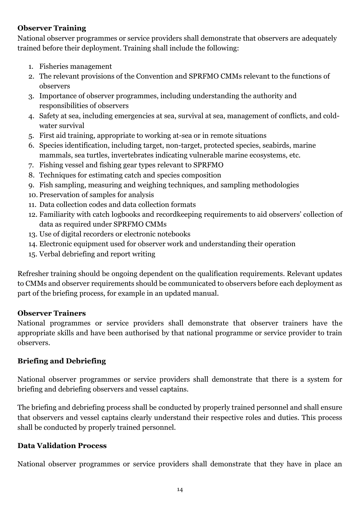### **Observer Training**

National observer programmes or service providers shall demonstrate that observers are adequately trained before their deployment. Training shall include the following:

- 1. Fisheries management
- 2. The relevant provisions of the Convention and SPRFMO CMMs relevant to the functions of observers
- 3. Importance of observer programmes, including understanding the authority and responsibilities of observers
- 4. Safety at sea, including emergencies at sea, survival at sea, management of conflicts, and coldwater survival
- 5. First aid training, appropriate to working at-sea or in remote situations
- 6. Species identification, including target, non-target, protected species, seabirds, marine mammals, sea turtles, invertebrates indicating vulnerable marine ecosystems, etc.
- 7. Fishing vessel and fishing gear types relevant to SPRFMO
- 8. Techniques for estimating catch and species composition
- 9. Fish sampling, measuring and weighing techniques, and sampling methodologies
- 10. Preservation of samples for analysis
- 11. Data collection codes and data collection formats
- 12. Familiarity with catch logbooks and recordkeeping requirements to aid observers' collection of data as required under SPRFMO CMMs
- 13. Use of digital recorders or electronic notebooks
- 14. Electronic equipment used for observer work and understanding their operation
- 15. Verbal debriefing and report writing

Refresher training should be ongoing dependent on the qualification requirements. Relevant updates to CMMs and observer requirements should be communicated to observers before each deployment as part of the briefing process, for example in an updated manual.

#### **Observer Trainers**

National programmes or service providers shall demonstrate that observer trainers have the appropriate skills and have been authorised by that national programme or service provider to train observers.

### **Briefing and Debriefing**

National observer programmes or service providers shall demonstrate that there is a system for briefing and debriefing observers and vessel captains.

The briefing and debriefing process shall be conducted by properly trained personnel and shall ensure that observers and vessel captains clearly understand their respective roles and duties. This process shall be conducted by properly trained personnel.

### **Data Validation Process**

National observer programmes or service providers shall demonstrate that they have in place an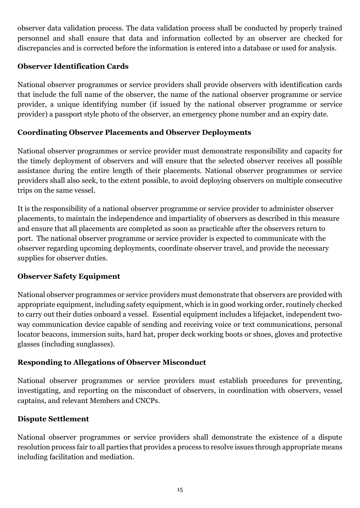observer data validation process. The data validation process shall be conducted by properly trained personnel and shall ensure that data and information collected by an observer are checked for discrepancies and is corrected before the information is entered into a database or used for analysis.

### **Observer Identification Cards**

National observer programmes or service providers shall provide observers with identification cards that include the full name of the observer, the name of the national observer programme or service provider, a unique identifying number (if issued by the national observer programme or service provider) a passport style photo of the observer, an emergency phone number and an expiry date.

### **Coordinating Observer Placements and Observer Deployments**

National observer programmes or service provider must demonstrate responsibility and capacity for the timely deployment of observers and will ensure that the selected observer receives all possible assistance during the entire length of their placements. National observer programmes or service providers shall also seek, to the extent possible, to avoid deploying observers on multiple consecutive trips on the same vessel.

It is the responsibility of a national observer programme or service provider to administer observer placements, to maintain the independence and impartiality of observers as described in this measure and ensure that all placements are completed as soon as practicable after the observers return to port. The national observer programme or service provider is expected to communicate with the observer regarding upcoming deployments, coordinate observer travel, and provide the necessary supplies for observer duties.

### **Observer Safety Equipment**

National observer programmes or service providers must demonstrate that observers are provided with appropriate equipment, including safety equipment, which is in good working order, routinely checked to carry out their duties onboard a vessel. Essential equipment includes a lifejacket, independent twoway communication device capable of sending and receiving voice or text communications, personal locator beacons, immersion suits, hard hat, proper deck working boots or shoes, gloves and protective glasses (including sunglasses).

### **Responding to Allegations of Observer Misconduct**

National observer programmes or service providers must establish procedures for preventing, investigating, and reporting on the misconduct of observers, in coordination with observers, vessel captains, and relevant Members and CNCPs.

#### **Dispute Settlement**

National observer programmes or service providers shall demonstrate the existence of a dispute resolution process fair to all parties that provides a process to resolve issues through appropriate means including facilitation and mediation.